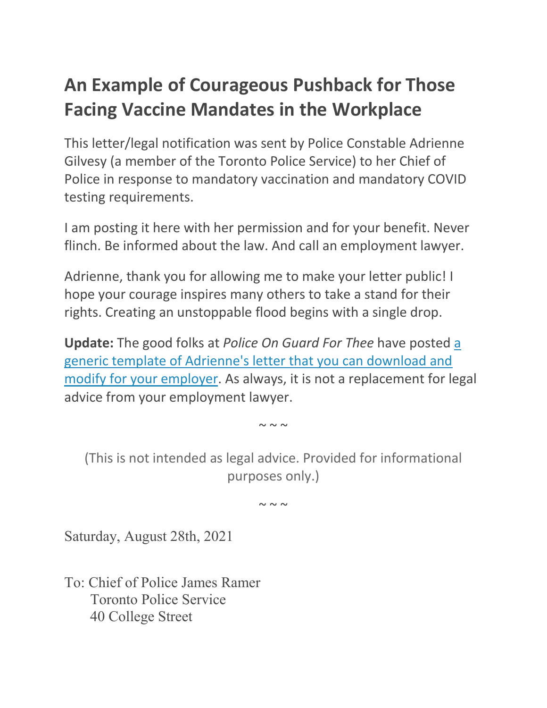# **An Example of Courageous Pushback for Those Facing Vaccine Mandates in the Workplace**

This letter/legal notification was sent by Police Constable Adrienne Gilvesy (a member of the Toronto Police Service) to her Chief of Police in response to mandatory vaccination and mandatory COVID testing requirements.

I am posting it here with her permission and for your benefit. Never flinch. Be informed about the law. And call an employment lawyer.

Adrienne, thank you for allowing me to make your letter public! I hope your courage inspires many others to take a stand for their rights. Creating an unstoppable flood begins with a single drop.

**Update:** The good folks at *Police On Guard For Thee* have posted [a](https://policeonguard.ca/template-of-notice-to-employers-regarding-mandatory-vaccination/)  [generic template of Adrienne's letter that you can download and](https://policeonguard.ca/template-of-notice-to-employers-regarding-mandatory-vaccination/)  [modify for your employer.](https://policeonguard.ca/template-of-notice-to-employers-regarding-mandatory-vaccination/) As always, it is not a replacement for legal advice from your employment lawyer.

 $\sim \sim \sim$ 

(This is not intended as legal advice. Provided for informational purposes only.)

 $\sim \sim \sim$ 

Saturday, August 28th, 2021

To: Chief of Police James Ramer Toronto Police Service 40 College Street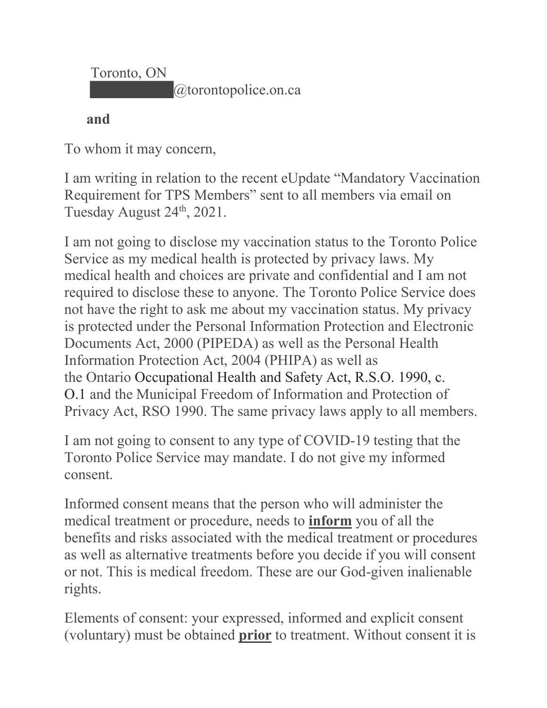Toronto, ON  $@t$ orontopolice.on.ca

#### **and**

To whom it may concern,

I am writing in relation to the recent eUpdate "Mandatory Vaccination Requirement for TPS Members" sent to all members via email on Tuesday August 24<sup>th</sup>, 2021.

I am not going to disclose my vaccination status to the Toronto Police Service as my medical health is protected by privacy laws. My medical health and choices are private and confidential and I am not required to disclose these to anyone. The Toronto Police Service does not have the right to ask me about my vaccination status. My privacy is protected under the Personal Information Protection and Electronic Documents Act, 2000 (PIPEDA) as well as the Personal Health Information Protection Act, 2004 (PHIPA) as well as the Ontario Occupational Health and Safety Act, R.S.O. 1990, c. O.1 and the Municipal Freedom of Information and Protection of Privacy Act, RSO 1990. The same privacy laws apply to all members.

I am not going to consent to any type of COVID-19 testing that the Toronto Police Service may mandate. I do not give my informed consent.

Informed consent means that the person who will administer the medical treatment or procedure, needs to **inform** you of all the benefits and risks associated with the medical treatment or procedures as well as alternative treatments before you decide if you will consent or not. This is medical freedom. These are our God-given inalienable rights.

Elements of consent: your expressed, informed and explicit consent (voluntary) must be obtained **prior** to treatment. Without consent it is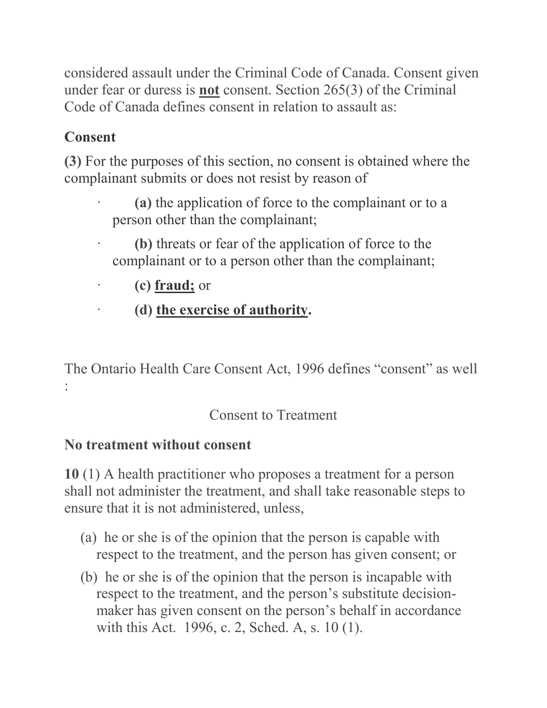considered assault under the Criminal Code of Canada. Consent given under fear or duress is **not** consent. Section 265(3) of the Criminal Code of Canada defines consent in relation to assault as:

## **Consent**

**(3)** For the purposes of this section, no consent is obtained where the complainant submits or does not resist by reason of

- · **(a)** the application of force to the complainant or to a person other than the complainant;
- · **(b)** threats or fear of the application of force to the complainant or to a person other than the complainant;
- · **(c) fraud;** or
- · **(d) the exercise of authority.**

The Ontario Health Care Consent Act, 1996 defines "consent" as well :

#### Consent to Treatment

#### **No treatment without consent**

**10** (1) A health practitioner who proposes a treatment for a person shall not administer the treatment, and shall take reasonable steps to ensure that it is not administered, unless,

- (a) he or she is of the opinion that the person is capable with respect to the treatment, and the person has given consent; or
- (b) he or she is of the opinion that the person is incapable with respect to the treatment, and the person's substitute decisionmaker has given consent on the person's behalf in accordance with this Act. 1996, c. 2, Sched. A, s. 10 (1).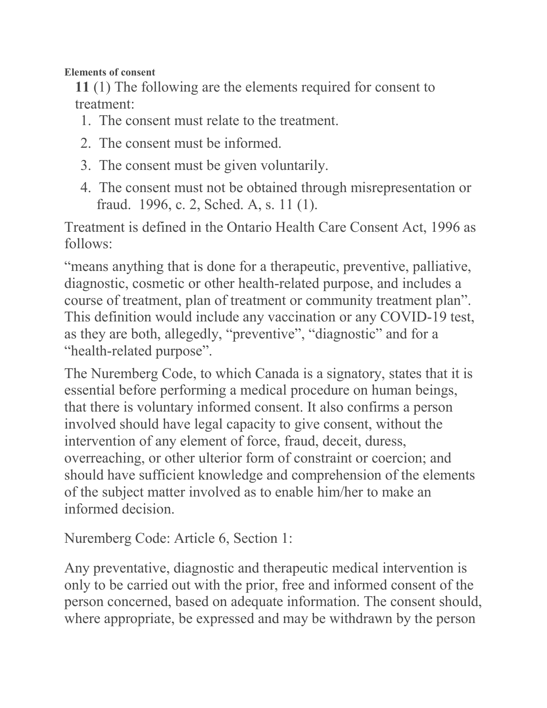**Elements of consent**

**11** (1) The following are the elements required for consent to treatment:

- 1. The consent must relate to the treatment.
- 2. The consent must be informed.
- 3. The consent must be given voluntarily.
- 4. The consent must not be obtained through misrepresentation or fraud. 1996, c. 2, Sched. A, s. 11 (1).

Treatment is defined in the Ontario Health Care Consent Act, 1996 as follows:

"means anything that is done for a therapeutic, preventive, palliative, diagnostic, cosmetic or other health-related purpose, and includes a course of treatment, plan of treatment or community treatment plan". This definition would include any vaccination or any COVID-19 test, as they are both, allegedly, "preventive", "diagnostic" and for a "health-related purpose".

The Nuremberg Code, to which Canada is a signatory, states that it is essential before performing a medical procedure on human beings, that there is voluntary informed consent. It also confirms a person involved should have legal capacity to give consent, without the intervention of any element of force, fraud, deceit, duress, overreaching, or other ulterior form of constraint or coercion; and should have sufficient knowledge and comprehension of the elements of the subject matter involved as to enable him/her to make an informed decision.

Nuremberg Code: Article 6, Section 1:

Any preventative, diagnostic and therapeutic medical intervention is only to be carried out with the prior, free and informed consent of the person concerned, based on adequate information. The consent should, where appropriate, be expressed and may be withdrawn by the person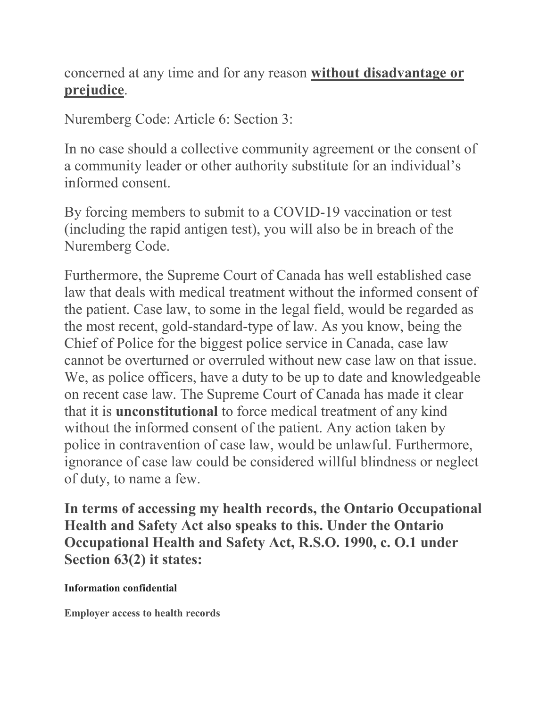concerned at any time and for any reason **without disadvantage or prejudice**.

Nuremberg Code: Article 6: Section 3:

In no case should a collective community agreement or the consent of a community leader or other authority substitute for an individual's informed consent.

By forcing members to submit to a COVID-19 vaccination or test (including the rapid antigen test), you will also be in breach of the Nuremberg Code.

Furthermore, the Supreme Court of Canada has well established case law that deals with medical treatment without the informed consent of the patient. Case law, to some in the legal field, would be regarded as the most recent, gold-standard-type of law. As you know, being the Chief of Police for the biggest police service in Canada, case law cannot be overturned or overruled without new case law on that issue. We, as police officers, have a duty to be up to date and knowledgeable on recent case law. The Supreme Court of Canada has made it clear that it is **unconstitutional** to force medical treatment of any kind without the informed consent of the patient. Any action taken by police in contravention of case law, would be unlawful. Furthermore, ignorance of case law could be considered willful blindness or neglect of duty, to name a few.

**In terms of accessing my health records, the Ontario Occupational Health and Safety Act also speaks to this. Under the Ontario Occupational Health and Safety Act, R.S.O. 1990, c. O.1 under Section 63(2) it states:**

**Information confidential**

**Employer access to health records**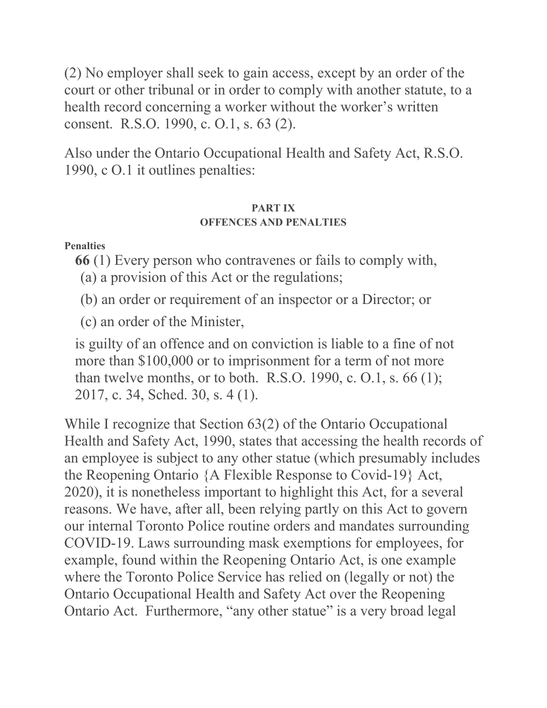(2) No employer shall seek to gain access, except by an order of the court or other tribunal or in order to comply with another statute, to a health record concerning a worker without the worker's written consent. R.S.O. 1990, c. O.1, s. 63 (2).

Also under the Ontario Occupational Health and Safety Act, R.S.O. 1990, c O.1 it outlines penalties:

#### **PART IX OFFENCES AND PENALTIES**

**Penalties**

**66** (1) Every person who contravenes or fails to comply with,

- (a) a provision of this Act or the regulations;
- (b) an order or requirement of an inspector or a Director; or

(c) an order of the Minister,

is guilty of an offence and on conviction is liable to a fine of not more than \$100,000 or to imprisonment for a term of not more than twelve months, or to both. R.S.O. 1990, c. O.1, s.  $66(1)$ ; 2017, c. 34, Sched. 30, s. 4 (1).

While I recognize that Section 63(2) of the Ontario Occupational Health and Safety Act, 1990, states that accessing the health records of an employee is subject to any other statue (which presumably includes the Reopening Ontario {A Flexible Response to Covid-19} Act, 2020), it is nonetheless important to highlight this Act, for a several reasons. We have, after all, been relying partly on this Act to govern our internal Toronto Police routine orders and mandates surrounding COVID-19. Laws surrounding mask exemptions for employees, for example, found within the Reopening Ontario Act, is one example where the Toronto Police Service has relied on (legally or not) the Ontario Occupational Health and Safety Act over the Reopening Ontario Act. Furthermore, "any other statue" is a very broad legal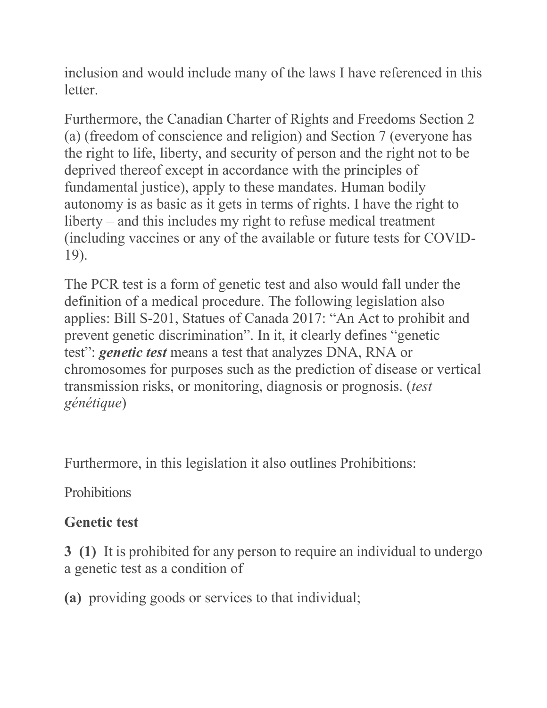inclusion and would include many of the laws I have referenced in this letter.

Furthermore, the Canadian Charter of Rights and Freedoms Section 2 (a) (freedom of conscience and religion) and Section 7 (everyone has the right to life, liberty, and security of person and the right not to be deprived thereof except in accordance with the principles of fundamental justice), apply to these mandates. Human bodily autonomy is as basic as it gets in terms of rights. I have the right to liberty – and this includes my right to refuse medical treatment (including vaccines or any of the available or future tests for COVID-19).

The PCR test is a form of genetic test and also would fall under the definition of a medical procedure. The following legislation also applies: Bill S-201, Statues of Canada 2017: "An Act to prohibit and prevent genetic discrimination". In it, it clearly defines "genetic test": *genetic test* means a test that analyzes DNA, RNA or chromosomes for purposes such as the prediction of disease or vertical transmission risks, or monitoring, diagnosis or prognosis. (*test génétique*)

Furthermore, in this legislation it also outlines Prohibitions:

**Prohibitions** 

### **Genetic test**

**3 (1)** It is prohibited for any person to require an individual to undergo a genetic test as a condition of

**(a)** providing goods or services to that individual;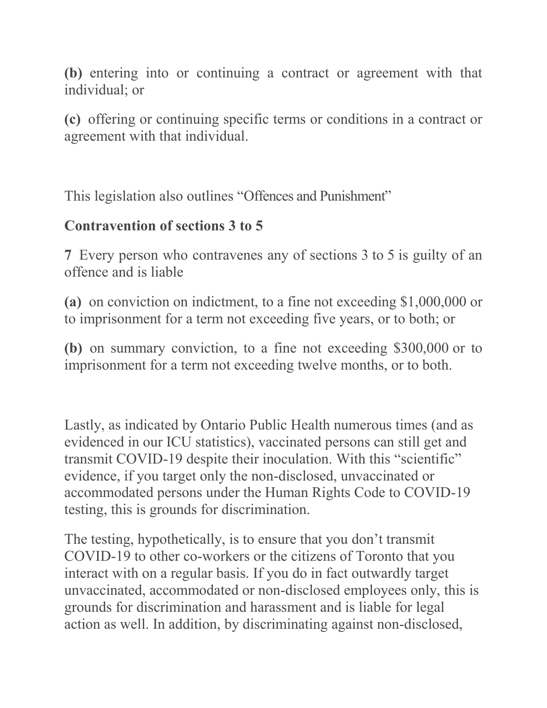**(b)** entering into or continuing a contract or agreement with that individual; or

**(c)** offering or continuing specific terms or conditions in a contract or agreement with that individual.

This legislation also outlines "Offences and Punishment"

#### **Contravention of sections 3 to 5**

**7** Every person who contravenes any of sections 3 to 5 is guilty of an offence and is liable

**(a)** on conviction on indictment, to a fine not exceeding \$1,000,000 or to imprisonment for a term not exceeding five years, or to both; or

**(b)** on summary conviction, to a fine not exceeding \$300,000 or to imprisonment for a term not exceeding twelve months, or to both.

Lastly, as indicated by Ontario Public Health numerous times (and as evidenced in our ICU statistics), vaccinated persons can still get and transmit COVID-19 despite their inoculation. With this "scientific" evidence, if you target only the non-disclosed, unvaccinated or accommodated persons under the Human Rights Code to COVID-19 testing, this is grounds for discrimination.

The testing, hypothetically, is to ensure that you don't transmit COVID-19 to other co-workers or the citizens of Toronto that you interact with on a regular basis. If you do in fact outwardly target unvaccinated, accommodated or non-disclosed employees only, this is grounds for discrimination and harassment and is liable for legal action as well. In addition, by discriminating against non-disclosed,